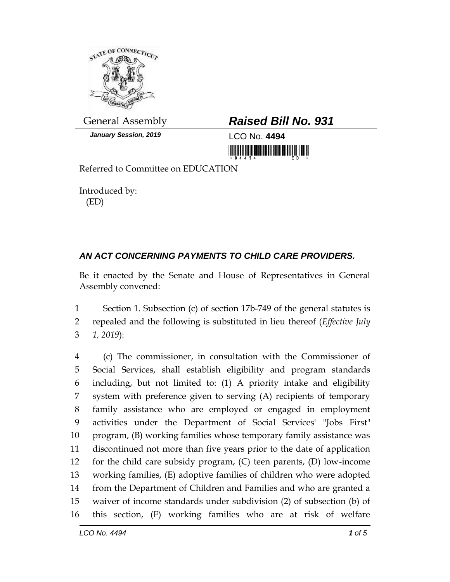

*January Session, 2019* LCO No. **4494**

## General Assembly *Raised Bill No. 931*

<u> Hillingan karatan ing Kabupatèn Baratan Ing Pa</u>

Referred to Committee on EDUCATION

Introduced by: (ED)

## *AN ACT CONCERNING PAYMENTS TO CHILD CARE PROVIDERS.*

Be it enacted by the Senate and House of Representatives in General Assembly convened:

 Section 1. Subsection (c) of section 17b-749 of the general statutes is repealed and the following is substituted in lieu thereof (*Effective July 1, 2019*):

 (c) The commissioner, in consultation with the Commissioner of Social Services, shall establish eligibility and program standards including, but not limited to: (1) A priority intake and eligibility system with preference given to serving (A) recipients of temporary family assistance who are employed or engaged in employment activities under the Department of Social Services' "Jobs First" program, (B) working families whose temporary family assistance was discontinued not more than five years prior to the date of application for the child care subsidy program, (C) teen parents, (D) low-income working families, (E) adoptive families of children who were adopted from the Department of Children and Families and who are granted a waiver of income standards under subdivision (2) of subsection (b) of this section, (F) working families who are at risk of welfare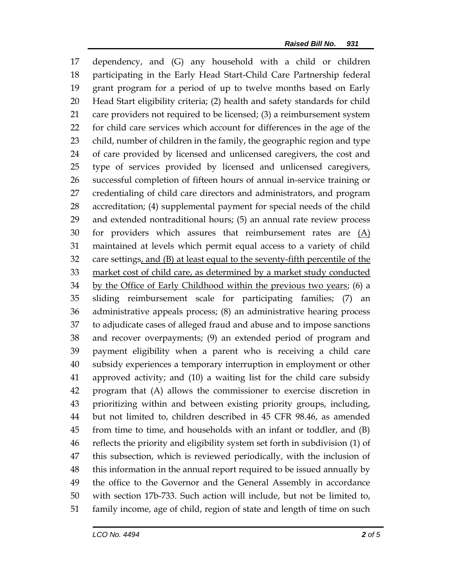dependency, and (G) any household with a child or children participating in the Early Head Start-Child Care Partnership federal grant program for a period of up to twelve months based on Early Head Start eligibility criteria; (2) health and safety standards for child care providers not required to be licensed; (3) a reimbursement system for child care services which account for differences in the age of the child, number of children in the family, the geographic region and type of care provided by licensed and unlicensed caregivers, the cost and type of services provided by licensed and unlicensed caregivers, successful completion of fifteen hours of annual in-service training or credentialing of child care directors and administrators, and program accreditation; (4) supplemental payment for special needs of the child and extended nontraditional hours; (5) an annual rate review process 30 for providers which assures that reimbursement rates are  $(A)$  maintained at levels which permit equal access to a variety of child care settings, and (B) at least equal to the seventy-fifth percentile of the market cost of child care, as determined by a market study conducted 34 by the Office of Early Childhood within the previous two years; (6) a sliding reimbursement scale for participating families; (7) an administrative appeals process; (8) an administrative hearing process to adjudicate cases of alleged fraud and abuse and to impose sanctions and recover overpayments; (9) an extended period of program and payment eligibility when a parent who is receiving a child care subsidy experiences a temporary interruption in employment or other approved activity; and (10) a waiting list for the child care subsidy program that (A) allows the commissioner to exercise discretion in prioritizing within and between existing priority groups, including, but not limited to, children described in 45 CFR 98.46, as amended from time to time, and households with an infant or toddler, and (B) reflects the priority and eligibility system set forth in subdivision (1) of this subsection, which is reviewed periodically, with the inclusion of this information in the annual report required to be issued annually by the office to the Governor and the General Assembly in accordance with section 17b-733. Such action will include, but not be limited to, family income, age of child, region of state and length of time on such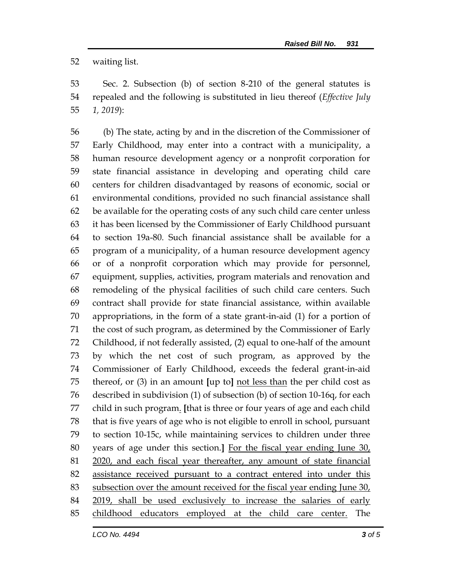waiting list.

 Sec. 2. Subsection (b) of section 8-210 of the general statutes is repealed and the following is substituted in lieu thereof (*Effective July 1, 2019*):

 (b) The state, acting by and in the discretion of the Commissioner of Early Childhood, may enter into a contract with a municipality, a human resource development agency or a nonprofit corporation for state financial assistance in developing and operating child care centers for children disadvantaged by reasons of economic, social or environmental conditions, provided no such financial assistance shall be available for the operating costs of any such child care center unless it has been licensed by the Commissioner of Early Childhood pursuant to section 19a-80. Such financial assistance shall be available for a program of a municipality, of a human resource development agency or of a nonprofit corporation which may provide for personnel, equipment, supplies, activities, program materials and renovation and remodeling of the physical facilities of such child care centers. Such contract shall provide for state financial assistance, within available appropriations, in the form of a state grant-in-aid (1) for a portion of the cost of such program, as determined by the Commissioner of Early Childhood, if not federally assisted, (2) equal to one-half of the amount by which the net cost of such program, as approved by the Commissioner of Early Childhood, exceeds the federal grant-in-aid thereof, or (3) in an amount **[**up to**]** not less than the per child cost as described in subdivision (1) of subsection (b) of section 10-16q, for each child in such program. **[**that is three or four years of age and each child that is five years of age who is not eligible to enroll in school, pursuant to section 10-15c, while maintaining services to children under three years of age under this section.**]** For the fiscal year ending June 30, 2020, and each fiscal year thereafter, any amount of state financial assistance received pursuant to a contract entered into under this 83 subsection over the amount received for the fiscal year ending June 30, 84 2019, shall be used exclusively to increase the salaries of early childhood educators employed at the child care center. The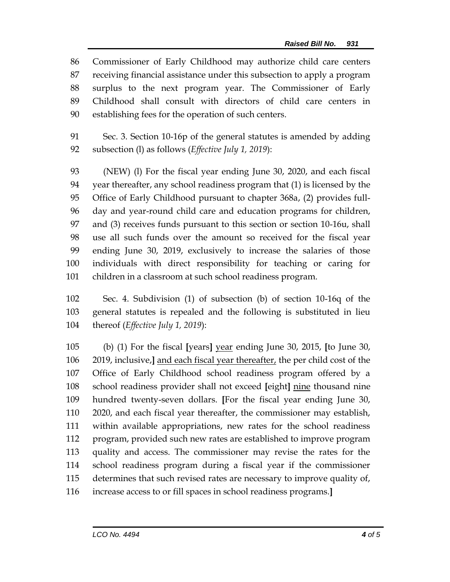Commissioner of Early Childhood may authorize child care centers receiving financial assistance under this subsection to apply a program surplus to the next program year. The Commissioner of Early Childhood shall consult with directors of child care centers in establishing fees for the operation of such centers.

 Sec. 3. Section 10-16p of the general statutes is amended by adding subsection (l) as follows (*Effective July 1, 2019*):

 (NEW) (l) For the fiscal year ending June 30, 2020, and each fiscal year thereafter, any school readiness program that (1) is licensed by the Office of Early Childhood pursuant to chapter 368a, (2) provides full- day and year-round child care and education programs for children, and (3) receives funds pursuant to this section or section 10-16u, shall use all such funds over the amount so received for the fiscal year ending June 30, 2019, exclusively to increase the salaries of those individuals with direct responsibility for teaching or caring for children in a classroom at such school readiness program.

 Sec. 4. Subdivision (1) of subsection (b) of section 10-16q of the general statutes is repealed and the following is substituted in lieu thereof (*Effective July 1, 2019*):

 (b) (1) For the fiscal **[**years**]** year ending June 30, 2015, **[**to June 30, 2019, inclusive,**]** and each fiscal year thereafter, the per child cost of the Office of Early Childhood school readiness program offered by a school readiness provider shall not exceed **[**eight**]** nine thousand nine hundred twenty-seven dollars. **[**For the fiscal year ending June 30, 2020, and each fiscal year thereafter, the commissioner may establish, within available appropriations, new rates for the school readiness program, provided such new rates are established to improve program quality and access. The commissioner may revise the rates for the school readiness program during a fiscal year if the commissioner determines that such revised rates are necessary to improve quality of, increase access to or fill spaces in school readiness programs.**]**